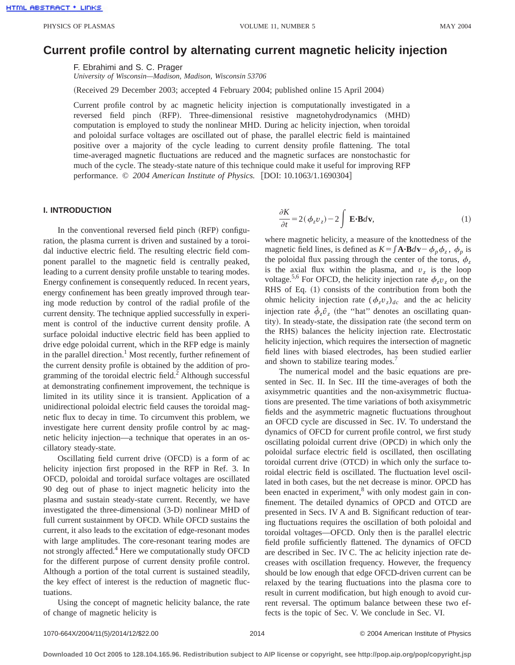# **Current profile control by alternating current magnetic helicity injection**

F. Ebrahimi and S. C. Prager *University of Wisconsin—Madison, Madison, Wisconsin 53706*

(Received 29 December 2003; accepted 4 February 2004; published online 15 April 2004)

Current profile control by ac magnetic helicity injection is computationally investigated in a reversed field pinch (RFP). Three-dimensional resistive magnetohydrodynamics (MHD) computation is employed to study the nonlinear MHD. During ac helicity injection, when toroidal and poloidal surface voltages are oscillated out of phase, the parallel electric field is maintained positive over a majority of the cycle leading to current density profile flattening. The total time-averaged magnetic fluctuations are reduced and the magnetic surfaces are nonstochastic for much of the cycle. The steady-state nature of this technique could make it useful for improving RFP performance. © 2004 American Institute of Physics. [DOI: 10.1063/1.1690304]

# **I. INTRODUCTION**

In the conventional reversed field pinch (RFP) configuration, the plasma current is driven and sustained by a toroidal inductive electric field. The resulting electric field component parallel to the magnetic field is centrally peaked, leading to a current density profile unstable to tearing modes. Energy confinement is consequently reduced. In recent years, energy confinement has been greatly improved through tearing mode reduction by control of the radial profile of the current density. The technique applied successfully in experiment is control of the inductive current density profile. A surface poloidal inductive electric field has been applied to drive edge poloidal current, which in the RFP edge is mainly in the parallel direction.<sup>1</sup> Most recently, further refinement of the current density profile is obtained by the addition of programming of the toroidal electric field. $<sup>2</sup>$  Although successful</sup> at demonstrating confinement improvement, the technique is limited in its utility since it is transient. Application of a unidirectional poloidal electric field causes the toroidal magnetic flux to decay in time. To circumvent this problem, we investigate here current density profile control by ac magnetic helicity injection—a technique that operates in an oscillatory steady-state.

Oscillating field current drive (OFCD) is a form of ac helicity injection first proposed in the RFP in Ref. 3. In OFCD, poloidal and toroidal surface voltages are oscillated 90 deg out of phase to inject magnetic helicity into the plasma and sustain steady-state current. Recently, we have investigated the three-dimensional  $(3-D)$  nonlinear MHD of full current sustainment by OFCD. While OFCD sustains the current, it also leads to the excitation of edge-resonant modes with large amplitudes. The core-resonant tearing modes are not strongly affected.<sup>4</sup> Here we computationally study OFCD for the different purpose of current density profile control. Although a portion of the total current is sustained steadily, the key effect of interest is the reduction of magnetic fluctuations.

Using the concept of magnetic helicity balance, the rate of change of magnetic helicity is

$$
\frac{\partial K}{\partial t} = 2(\phi_z v_z) - 2 \int \mathbf{E} \cdot \mathbf{B} d\mathbf{v},\tag{1}
$$

where magnetic helicity, a measure of the knottedness of the magnetic field lines, is defined as  $K = \int \mathbf{A} \cdot \mathbf{B} d\mathbf{v} - \phi_p \phi_z$ ,  $\phi_p$  is the poloidal flux passing through the center of the torus,  $\phi_z$ is the axial flux within the plasma, and  $v<sub>z</sub>$  is the loop voltage.<sup>5,6</sup> For OFCD, the helicity injection rate  $\phi_z v_z$  on the RHS of Eq.  $(1)$  consists of the contribution from both the ohmic helicity injection rate  $(\phi_z v_z)_{dc}$  and the ac helicity injection rate  $\phi_z \hat{v}_z$  (the "hat" denotes an oscillating quantity). In steady-state, the dissipation rate (the second term on the RHS) balances the helicity injection rate. Electrostatic helicity injection, which requires the intersection of magnetic field lines with biased electrodes, has been studied earlier and shown to stabilize tearing modes.<sup>7</sup>

The numerical model and the basic equations are presented in Sec. II. In Sec. III the time-averages of both the axisymmetric quantities and the non-axisymmetric fluctuations are presented. The time variations of both axisymmetric fields and the asymmetric magnetic fluctuations throughout an OFCD cycle are discussed in Sec. IV. To understand the dynamics of OFCD for current profile control, we first study oscillating poloidal current drive (OPCD) in which only the poloidal surface electric field is oscillated, then oscillating toroidal current drive (OTCD) in which only the surface toroidal electric field is oscillated. The fluctuation level oscillated in both cases, but the net decrease is minor. OPCD has been enacted in experiment, $8$  with only modest gain in confinement. The detailed dynamics of OPCD and OTCD are presented in Secs. IV A and B. Significant reduction of tearing fluctuations requires the oscillation of both poloidal and toroidal voltages—OFCD. Only then is the parallel electric field profile sufficiently flattened. The dynamics of OFCD are described in Sec. IV C. The ac helicity injection rate decreases with oscillation frequency. However, the frequency should be low enough that edge OFCD-driven current can be relaxed by the tearing fluctuations into the plasma core to result in current modification, but high enough to avoid current reversal. The optimum balance between these two effects is the topic of Sec. V. We conclude in Sec. VI.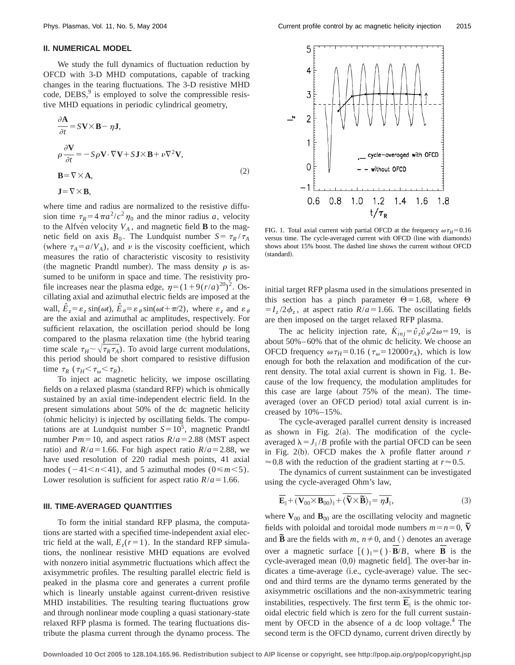### **II. NUMERICAL MODEL**

We study the full dynamics of fluctuation reduction by OFCD with 3-D MHD computations, capable of tracking changes in the tearing fluctuations. The 3-D resistive MHD code,  $DEBS<sup>9</sup>$  is employed to solve the compressible resistive MHD equations in periodic cylindrical geometry,

$$
\frac{\partial \mathbf{A}}{\partial t} = S\mathbf{V} \times \mathbf{B} - \eta \mathbf{J},
$$
  
\n
$$
\rho \frac{\partial \mathbf{V}}{\partial t} = -S\rho \mathbf{V} \cdot \nabla \mathbf{V} + S\mathbf{J} \times \mathbf{B} + \nu \nabla^2 \mathbf{V},
$$
  
\n
$$
\mathbf{B} = \nabla \times \mathbf{A},
$$
\n(2)

$$
\mathbf{J} = \nabla \times \mathbf{B},
$$

where time and radius are normalized to the resistive diffusion time  $\tau_R = 4\pi a^2/c^2 \eta_0$  and the minor radius *a*, velocity to the Alfve<sup>n</sup> velocity  $V_A$ , and magnetic field **B** to the magnetic field on axis  $B_0$ . The Lundquist number  $S = \tau_R / \tau_A$ (where  $\tau_A = a/V_A$ ), and v is the viscosity coefficient, which measures the ratio of characteristic viscosity to resistivity (the magnetic Prandtl number). The mass density  $\rho$  is assumed to be uniform in space and time. The resistivity profile increases near the plasma edge,  $\eta = (1+9(r/a)^{20})^2$ . Oscillating axial and azimuthal electric fields are imposed at the wall,  $\hat{E}_z = \varepsilon_z \sin(\omega t)$ ,  $\hat{E}_\theta = \varepsilon_\theta \sin(\omega t + \pi/2)$ , where  $\varepsilon_z$  and  $\varepsilon_\theta$ are the axial and azimuthal ac amplitudes, respectively. For sufficient relaxation, the oscillation period should be long compared to the plasma relaxation time (the hybrid tearing time scale  $\tau_H \sim \sqrt{\tau_R \tau_A}$ ). To avoid large current modulations, this period should be short compared to resistive diffusion time  $\tau_R$  ( $\tau_H \leq \tau_\omega \leq \tau_R$ ).

To inject ac magnetic helicity, we impose oscillating fields on a relaxed plasma (standard RFP) which is ohmically sustained by an axial time-independent electric field. In the present simulations about 50% of the dc magnetic helicity (ohmic helicity) is injected by oscillating fields. The computations are at Lundquist number  $S = 10^5$ , magnetic Prandtl number  $Pm=10$ , and aspect ratios  $R/a=2.88$  (MST aspect ratio) and  $R/a = 1.66$ . For high aspect ratio  $R/a = 2.88$ , we have used resolution of 220 radial mesh points, 41 axial modes  $(-41 \le n \le 41)$ , and 5 azimuthal modes  $(0 \le m \le 5)$ . Lower resolution is sufficient for aspect ratio  $R/a = 1.66$ .

#### **III. TIME-AVERAGED QUANTITIES**

To form the initial standard RFP plasma, the computations are started with a specified time-independent axial electric field at the wall,  $E_z(r=1)$ . In the standard RFP simulations, the nonlinear resistive MHD equations are evolved with nonzero initial asymmetric fluctuations which affect the axisymmetric profiles. The resulting parallel electric field is peaked in the plasma core and generates a current profile which is linearly unstable against current-driven resistive MHD instabilities. The resulting tearing fluctuations grow and through nonlinear mode coupling a quasi stationary-state relaxed RFP plasma is formed. The tearing fluctuations distribute the plasma current through the dynamo process. The



FIG. 1. Total axial current with partial OFCD at the frequency  $\omega \tau_H = 0.16$ versus time. The cycle-averaged current with OFCD (line with diamonds) shows about 15% boost. The dashed line shows the current without OFCD (standard).

initial target RFP plasma used in the simulations presented in this section has a pinch parameter  $\Theta$  = 1.68, where  $\Theta$  $=I_z/2\phi_z$ , at aspect ratio *R*/*a* = 1.66. The oscillating fields are then imposed on the target relaxed RFP plasma.

The ac helicity injection rate,  $\dot{K}_{ini} = \hat{v}_z \hat{v}_z^2 / 2\omega = 19$ , is about 50%–60% that of the ohmic dc helicity. We choose an OFCD frequency  $\omega \tau_H = 0.16$  ( $\tau_\text{o} = 12000 \tau_A$ ), which is low enough for both the relaxation and modification of the current density. The total axial current is shown in Fig. 1. Because of the low frequency, the modulation amplitudes for this case are large (about  $75%$  of the mean). The timeaveraged (over an OFCD period) total axial current is increased by 10%–15%.

The cycle-averaged parallel current density is increased as shown in Fig.  $2(a)$ . The modification of the cycleaveraged  $\lambda = J_{\parallel}/B$  profile with the partial OFCD can be seen in Fig. 2(b). OFCD makes the  $\lambda$  profile flatter around *r*  $\approx 0.8$  with the reduction of the gradient starting at  $r \approx 0.5$ .

The dynamics of current sustainment can be investigated using the cycle-averaged Ohm's law,

$$
\overline{\mathbf{E}}_{\parallel} + \overline{(\mathbf{V}_{00} \times \mathbf{B}_{00})_{\parallel}} + \overline{\langle \widetilde{\mathbf{V}} \times \widetilde{\mathbf{B}} \rangle_{\parallel}} = \overline{\eta \mathbf{J}_{\parallel}},
$$
\n(3)

where  $\mathbf{V}_{00}$  and  $\mathbf{B}_{00}$  are the oscillating velocity and magnetic fields with poloidal and toroidal mode numbers  $m = n = 0$ ,  $\tilde{V}$ and  $\widetilde{\mathbf{B}}$  are the fields with *m*,  $n \neq 0$ , and  $\langle \rangle$  denotes an average over a magnetic surface  $[( )_{\parallel}=( ) \cdot \overline{B}/B,$  where  $\overline{B}$  is the cycle-averaged mean  $(0,0)$  magnetic field]. The over-bar indicates a time-average (i.e., cycle-average) value. The second and third terms are the dynamo terms generated by the axisymmetric oscillations and the non-axisymmetric tearing instabilities, respectively. The first term  $\mathbf{E}_{\parallel}$  is the ohmic toroidal electric field which is zero for the full current sustainment by OFCD in the absence of a dc loop voltage.<sup>4</sup> The second term is the OFCD dynamo, current driven directly by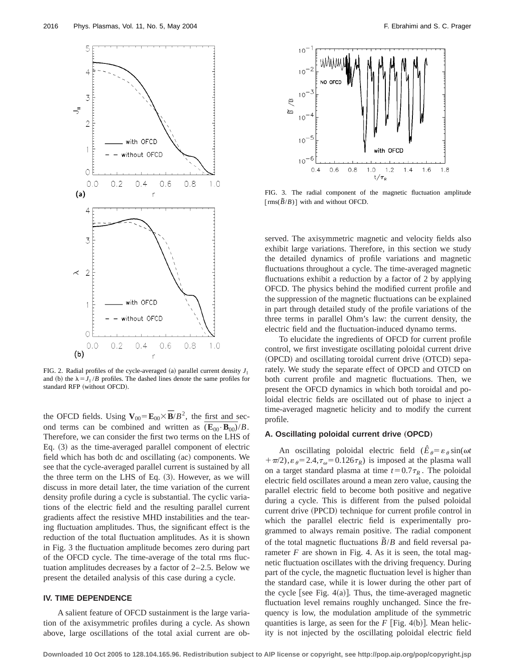

FIG. 2. Radial profiles of the cycle-averaged (a) parallel current density  $J_{\parallel}$ and (b) the  $\lambda = J_{\parallel}/B$  profiles. The dashed lines denote the same profiles for standard RFP (without OFCD).

the OFCD fields. Using  $\mathbf{V}_{00} = \mathbf{E}_{00} \times \mathbf{\bar{B}}/B^2$ , the first and second terms can be combined and written as  $(\mathbf{E}_{00} \cdot \mathbf{B}_{00})/B$ . Therefore, we can consider the first two terms on the LHS of Eq.  $(3)$  as the time-averaged parallel component of electric field which has both dc and oscillating (ac) components. We see that the cycle-averaged parallel current is sustained by all the three term on the LHS of Eq.  $(3)$ . However, as we will discuss in more detail later, the time variation of the current density profile during a cycle is substantial. The cyclic variations of the electric field and the resulting parallel current gradients affect the resistive MHD instabilities and the tearing fluctuation amplitudes. Thus, the significant effect is the reduction of the total fluctuation amplitudes. As it is shown in Fig. 3 the fluctuation amplitude becomes zero during part of the OFCD cycle. The time-average of the total rms fluctuation amplitudes decreases by a factor of 2–2.5. Below we present the detailed analysis of this case during a cycle.

# **IV. TIME DEPENDENCE**

A salient feature of OFCD sustainment is the large variation of the axisymmetric profiles during a cycle. As shown above, large oscillations of the total axial current are ob-



FIG. 3. The radial component of the magnetic fluctuation amplitude  $\left[ \text{rms}(\frac{\overline{B}}{B}) \right]$  with and without OFCD.

served. The axisymmetric magnetic and velocity fields also exhibit large variations. Therefore, in this section we study the detailed dynamics of profile variations and magnetic fluctuations throughout a cycle. The time-averaged magnetic fluctuations exhibit a reduction by a factor of 2 by applying OFCD. The physics behind the modified current profile and the suppression of the magnetic fluctuations can be explained in part through detailed study of the profile variations of the three terms in parallel Ohm's law: the current density, the electric field and the fluctuation-induced dynamo terms.

To elucidate the ingredients of OFCD for current profile control, we first investigate oscillating poloidal current drive (OPCD) and oscillating toroidal current drive (OTCD) separately. We study the separate effect of OPCD and OTCD on both current profile and magnetic fluctuations. Then, we present the OFCD dynamics in which both toroidal and poloidal electric fields are oscillated out of phase to inject a time-averaged magnetic helicity and to modify the current profile.

# A. Oscillating poloidal current drive (OPCD)

An oscillating poloidal electric field  $(\hat{E}_{\theta} = \varepsilon_{\theta} \sin(\omega t))$  $+\pi/2$ ,  $\varepsilon_{\theta} = 2.4$ ,  $\tau_{\omega} = 0.126 \tau_R$ ) is imposed at the plasma wall on a target standard plasma at time  $t=0.7\tau_R$ . The poloidal electric field oscillates around a mean zero value, causing the parallel electric field to become both positive and negative during a cycle. This is different from the pulsed poloidal current drive (PPCD) technique for current profile control in which the parallel electric field is experimentally programmed to always remain positive. The radial component of the total magnetic fluctuations  $\tilde{B}/B$  and field reversal parameter  $F$  are shown in Fig. 4. As it is seen, the total magnetic fluctuation oscillates with the driving frequency. During part of the cycle, the magnetic fluctuation level is higher than the standard case, while it is lower during the other part of the cycle see Fig.  $4(a)$ . Thus, the time-averaged magnetic fluctuation level remains roughly unchanged. Since the frequency is low, the modulation amplitude of the symmetric quantities is large, as seen for the  $F$  [Fig. 4(b)]. Mean helicity is not injected by the oscillating poloidal electric field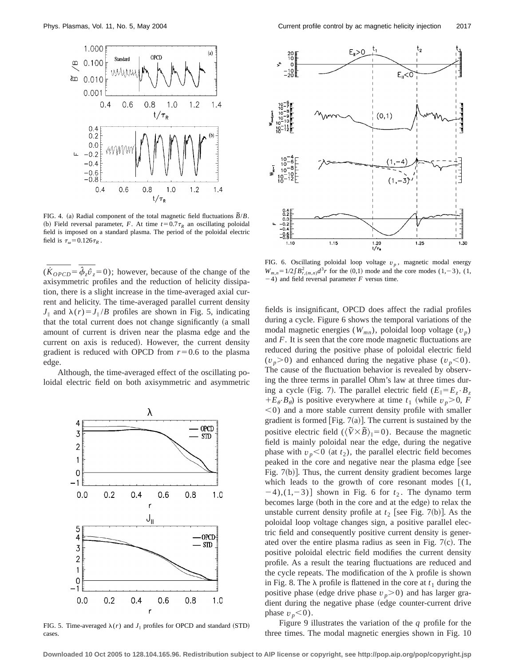

FIG. 4. (a) Radial component of the total magnetic field fluctuations  $\overline{B}/B$ . (b) Field reversal parameter, *F*. At time  $t=0.7\tau_R$  an oscillating poloidal field is imposed on a standard plasma. The period of the poloidal electric field is  $\tau_{\omega}$ =0.126 $\tau_{R}$ .

 $(\dot{K}_{OPCD} = \hat{\phi}_z \hat{v}_z = 0)$ ; however, because of the change of the axisymmetric profiles and the reduction of helicity dissipation, there is a slight increase in the time-averaged axial current and helicity. The time-averaged parallel current density  $J_{\parallel}$  and  $\lambda(r) = J_{\parallel}/B$  profiles are shown in Fig. 5, indicating that the total current does not change significantly (a small amount of current is driven near the plasma edge and the current on axis is reduced). However, the current density gradient is reduced with OPCD from  $r=0.6$  to the plasma edge.

Although, the time-averaged effect of the oscillating poloidal electric field on both axisymmetric and asymmetric



FIG. 5. Time-averaged  $\lambda(r)$  and  $J_{\parallel}$  profiles for OPCD and standard (STD) cases.



FIG. 6. Oscillating poloidal loop voltage  $v_p$ , magnetic modal energy  $W_{m,n}=1/2\int B_{r,(m,n)}^2 d^3r$  for the (0,1) mode and the core modes (1,-3), (1,  $-4$ ) and field reversal parameter *F* versus time.

fields is insignificant, OPCD does affect the radial profiles during a cycle. Figure 6 shows the temporal variations of the modal magnetic energies  $(W_{mn})$ , poloidal loop voltage  $(v_p)$ and *F*. It is seen that the core mode magnetic fluctuations are reduced during the positive phase of poloidal electric field  $(v_p>0)$  and enhanced during the negative phase  $(v_p<0)$ . The cause of the fluctuation behavior is revealed by observing the three terms in parallel Ohm's law at three times during a cycle (Fig. 7). The parallel electric field  $(E_{\parallel} = E_z \cdot B_z)$  $+E_{\theta} \cdot B_{\theta}$  is positive everywhere at time  $t_1$  (while  $v_p > 0$ , *F*  $<$ 0) and a more stable current density profile with smaller gradient is formed [Fig.  $7(a)$ ]. The current is sustained by the positive electric field  $(\langle \tilde{V} \times \tilde{B} \rangle_{\parallel} = 0)$ . Because the magnetic field is mainly poloidal near the edge, during the negative phase with  $v_p < 0$  (at  $t_2$ ), the parallel electric field becomes peaked in the core and negative near the plasma edge [see Fig.  $7(b)$ ]. Thus, the current density gradient becomes large which leads to the growth of core resonant modes  $\lceil (1, \cdot) \rceil$  $[-4)$ ,(1,-3)] shown in Fig. 6 for  $t<sub>2</sub>$ . The dynamo term becomes large (both in the core and at the edge) to relax the unstable current density profile at  $t_2$  [see Fig. 7(b)]. As the poloidal loop voltage changes sign, a positive parallel electric field and consequently positive current density is generated over the entire plasma radius as seen in Fig.  $7(c)$ . The positive poloidal electric field modifies the current density profile. As a result the tearing fluctuations are reduced and the cycle repeats. The modification of the  $\lambda$  profile is shown in Fig. 8. The  $\lambda$  profile is flattened in the core at  $t_1$  during the positive phase (edge drive phase  $v_p$ >0) and has larger gradient during the negative phase (edge counter-current drive phase  $v_p$ <0).

Figure 9 illustrates the variation of the *q* profile for the three times. The modal magnetic energies shown in Fig. 10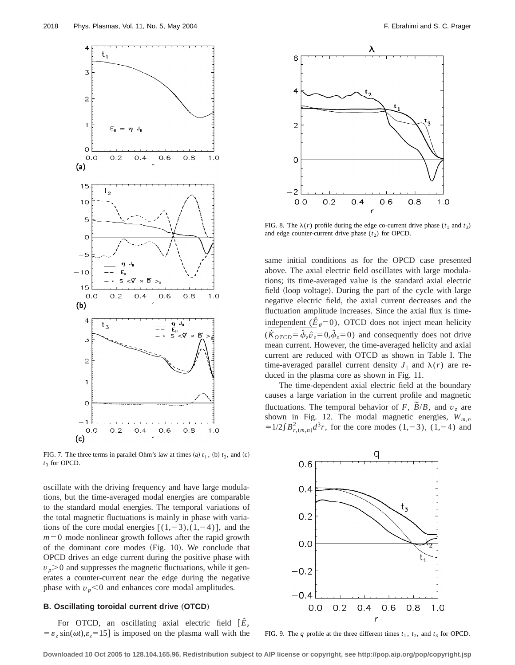

FIG. 7. The three terms in parallel Ohm's law at times (a)  $t_1$ , (b)  $t_2$ , and (c)  $t_3$  for OPCD.

oscillate with the driving frequency and have large modulations, but the time-averaged modal energies are comparable to the standard modal energies. The temporal variations of the total magnetic fluctuations is mainly in phase with variations of the core modal energies  $[(1,-3),(1,-4)]$ , and the  $m=0$  mode nonlinear growth follows after the rapid growth of the dominant core modes  $(Fig. 10)$ . We conclude that OPCD drives an edge current during the positive phase with  $v_p$  and suppresses the magnetic fluctuations, while it generates a counter-current near the edge during the negative phase with  $v_p$ <0 and enhances core modal amplitudes.

#### **B. Oscillating toroidal current drive (OTCD)**

For OTCD, an oscillating axial electric field  $\left[\hat{E}_z\right]$  $= \varepsilon$ ,  $\sin(\omega t)$ , $\varepsilon$ <sub>z</sub>=15] is imposed on the plasma wall with the



FIG. 8. The  $\lambda(r)$  profile during the edge co-current drive phase ( $t_1$  and  $t_3$ ) and edge counter-current drive phase  $(t_2)$  for OPCD.

same initial conditions as for the OPCD case presented above. The axial electric field oscillates with large modulations; its time-averaged value is the standard axial electric field (loop voltage). During the part of the cycle with large negative electric field, the axial current decreases and the fluctuation amplitude increases. Since the axial flux is timeindependent  $(\hat{E}_\theta = 0)$ , OTCD does not inject mean helicity  $(\dot{K}_{OTCD} = \hat{\phi}_z \hat{\sigma}_z = 0, \hat{\phi}_z = 0)$  and consequently does not drive mean current. However, the time-averaged helicity and axial current are reduced with OTCD as shown in Table I. The time-averaged parallel current density  $J_{\parallel}$  and  $\lambda(r)$  are reduced in the plasma core as shown in Fig. 11.

The time-dependent axial electric field at the boundary causes a large variation in the current profile and magnetic fluctuations. The temporal behavior of *F*,  $\tilde{B}/B$ , and  $v_z$  are shown in Fig. 12. The modal magnetic energies,  $W_{m,n}$  $=1/2\int B_{r,(m,n)}^2 d^3r$ , for the core modes (1,-3), (1,-4) and



FIG. 9. The *q* profile at the three different times  $t_1$ ,  $t_2$ , and  $t_3$  for OPCD.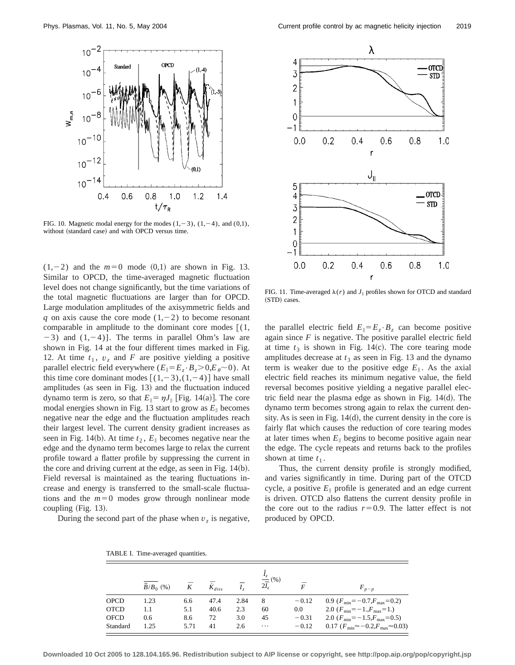

FIG. 10. Magnetic modal energy for the modes  $(1,-3)$ ,  $(1,-4)$ , and  $(0,1)$ , without (standard case) and with OPCD versus time.

 $(1,-2)$  and the  $m=0$  mode  $(0,1)$  are shown in Fig. 13. Similar to OPCD, the time-averaged magnetic fluctuation level does not change significantly, but the time variations of the total magnetic fluctuations are larger than for OPCD. Large modulation amplitudes of the axisymmetric fields and *q* on axis cause the core mode  $(1,-2)$  to become resonant comparable in amplitude to the dominant core modes  $\lceil (1, \cdot) \rceil$  $-3$ ) and  $(1,-4)$ ]. The terms in parallel Ohm's law are shown in Fig. 14 at the four different times marked in Fig. 12. At time  $t_1$ ,  $v_z$  and *F* are positive yielding a positive parallel electric field everywhere  $(E_{\parallel} = E_z \cdot B_z > 0, E_{\theta} \sim 0)$ . At this time core dominant modes  $[(1,-3),(1,-4)]$  have small amplitudes (as seen in Fig.  $13$ ) and the fluctuation induced dynamo term is zero, so that  $E_{\parallel} = \eta J_{\parallel}$  [Fig. 14(a)]. The core modal energies shown in Fig. 13 start to grow as  $E_{\parallel}$  becomes negative near the edge and the fluctuation amplitudes reach their largest level. The current density gradient increases as seen in Fig. 14(b). At time  $t_2$ ,  $E_{\parallel}$  becomes negative near the edge and the dynamo term becomes large to relax the current profile toward a flatter profile by suppressing the current in the core and driving current at the edge, as seen in Fig.  $14(b)$ . Field reversal is maintained as the tearing fluctuations increase and energy is transferred to the small-scale fluctuations and the  $m=0$  modes grow through nonlinear mode coupling  $(Fig. 13)$ .

During the second part of the phase when  $v<sub>z</sub>$  is negative,



FIG. 11. Time-averaged  $\lambda(r)$  and  $J_{\parallel}$  profiles shown for OTCD and standard (STD) cases.

the parallel electric field  $E_{\parallel} = E_z \cdot B_z$  can become positive again since  $F$  is negative. The positive parallel electric field at time  $t_3$  is shown in Fig. 14 $(c)$ . The core tearing mode amplitudes decrease at  $t_3$  as seen in Fig. 13 and the dynamo term is weaker due to the positive edge  $E_{\parallel}$ . As the axial electric field reaches its minimum negative value, the field reversal becomes positive yielding a negative parallel electric field near the plasma edge as shown in Fig.  $14(d)$ . The dynamo term becomes strong again to relax the current density. As is seen in Fig.  $14(d)$ , the current density in the core is fairly flat which causes the reduction of core tearing modes at later times when  $E_{\parallel}$  begins to become positive again near the edge. The cycle repeats and returns back to the profiles shown at time  $t_1$ .

Thus, the current density profile is strongly modified, and varies significantly in time. During part of the OTCD cycle, a positive  $E_{\parallel}$  profile is generated and an edge current is driven. OTCD also flattens the current density profile in the core out to the radius  $r=0.9$ . The latter effect is not produced by OPCD.

|             | $\widetilde{B}/B_0$ (%) | $\bar K$ | $\bar{\dot{K}}_{diss}$ |      | $\frac{I_z}{2I_z}(96)$ |         | $F_{p-p}$                                             |
|-------------|-------------------------|----------|------------------------|------|------------------------|---------|-------------------------------------------------------|
| <b>OPCD</b> | 1.23                    | 6.6      | 47.4                   | 2.84 | 8                      | $-0.12$ | 0.9 $(F_{\text{min}} = -0.7, F_{\text{max}} = 0.2)$   |
| <b>OTCD</b> | 1.1                     | 5.1      | 40.6                   | 2.3  | 60                     | $0.0\,$ | 2.0 $(F_{\min}=-1., F_{\max}=1.)$                     |
| <b>OFCD</b> | 0.6                     | 8.6      | 72                     | 3.0  | 45                     | $-0.31$ | 2.0 $(F_{min}=-1.5, F_{max}=0.5)$                     |
| Standard    | 1.25                    | 5.71     | 41                     | 2.6  | $\cdots$               | $-0.12$ | 0.17 $(F_{\min} \approx -0.2, F_{\max} \approx 0.03)$ |

TABLE I. Time-averaged quantities.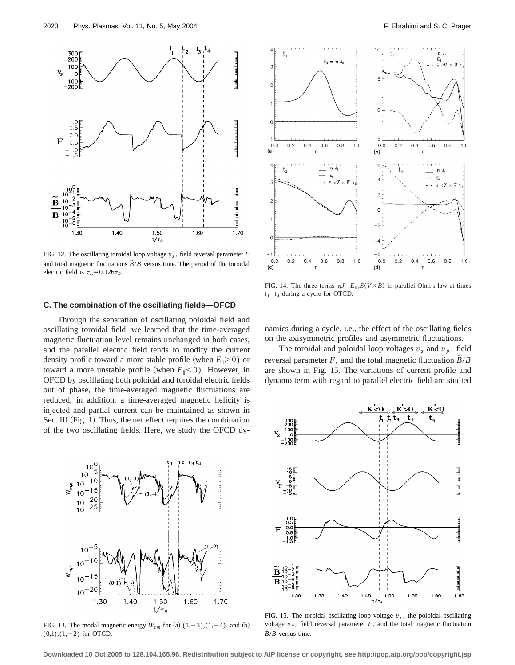

FIG. 12. The oscillating toroidal loop voltage  $v_z$ , field reversal parameter  $F$ and total magnetic fluctuations  $\overline{B}/B$  versus time. The period of the toroidal electric field is  $\tau_{\omega}$ =0.126 $\tau_{R}$ .

## **C. The combination of the oscillating fields—OFCD**

Through the separation of oscillating poloidal field and oscillating toroidal field, we learned that the time-averaged magnetic fluctuation level remains unchanged in both cases, and the parallel electric field tends to modify the current density profile toward a more stable profile (when  $E_{\parallel} > 0$ ) or toward a more unstable profile (when  $E_{\parallel}<0$ ). However, in OFCD by oscillating both poloidal and toroidal electric fields out of phase, the time-averaged magnetic fluctuations are reduced; in addition, a time-averaged magnetic helicity is injected and partial current can be maintained as shown in Sec. III (Fig. 1). Thus, the net effect requires the combination of the two oscillating fields. Here, we study the OFCD dy-



FIG. 13. The modal magnetic energy  $W_{mn}$  for (a)  $(1, -3)$ ,  $(1, -4)$ , and (b)  $(0,1),(1,-2)$  for OTCD.



FIG. 14. The three terms  $\eta J_{\parallel}$ ,  $E_{\parallel}$ ,  $S\langle \tilde{V} \times \tilde{B} \rangle$  in parallel Ohm's law at times  $t_1 - t_4$  during a cycle for OTCD.

namics during a cycle, i.e., the effect of the oscillating fields on the axisymmetric profiles and asymmetric fluctuations.

The toroidal and poloidal loop voltages  $v_z$  and  $v_p$ , field reversal parameter *F*, and the total magnetic fluctuation  $\overline{B}/B$ are shown in Fig. 15. The variations of current profile and dynamo term with regard to parallel electric field are studied



FIG. 15. The toroidal oscillating loop voltage  $v<sub>z</sub>$ , the poloidal oscillating voltage  $v_{\theta}$ , field reversal parameter *F*, and the total magnetic fluctuation  $\overline{B}/B$  versus time.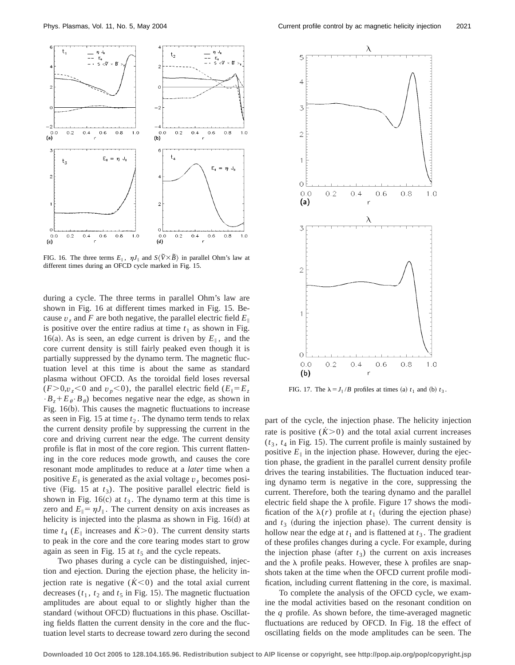

FIG. 16. The three terms  $E_{\parallel}$ ,  $\eta J_{\parallel}$  and  $S\langle \tilde{V} \times \tilde{B} \rangle$  in parallel Ohm's law at different times during an OFCD cycle marked in Fig. 15.

during a cycle. The three terms in parallel Ohm's law are shown in Fig. 16 at different times marked in Fig. 15. Because  $v_z$  and F are both negative, the parallel electric field  $E_{\parallel}$ is positive over the entire radius at time  $t_1$  as shown in Fig. 16(a). As is seen, an edge current is driven by  $E_{\parallel}$ , and the core current density is still fairly peaked even though it is partially suppressed by the dynamo term. The magnetic fluctuation level at this time is about the same as standard plasma without OFCD. As the toroidal field loses reversal  $(F>0, v_z<0$  and  $v_p<0$ , the parallel electric field  $(E_{\parallel} = E_z)$  $\cdot B_z + E_\theta \cdot B_\theta$  becomes negative near the edge, as shown in Fig.  $16(b)$ . This causes the magnetic fluctuations to increase as seen in Fig. 15 at time  $t_2$ . The dynamo term tends to relax the current density profile by suppressing the current in the core and driving current near the edge. The current density profile is flat in most of the core region. This current flattening in the core reduces mode growth, and causes the core resonant mode amplitudes to reduce at a *later* time when a positive  $E_{\parallel}$  is generated as the axial voltage  $v_z$  becomes positive (Fig. 15 at  $t_3$ ). The positive parallel electric field is shown in Fig. 16 $(c)$  at  $t_3$ . The dynamo term at this time is zero and  $E_{\parallel} = \eta J_{\parallel}$ . The current density on axis increases as helicity is injected into the plasma as shown in Fig.  $16(d)$  at time  $t_4$  ( $E_{\parallel}$  increases and  $\dot{K} > 0$ ). The current density starts to peak in the core and the core tearing modes start to grow again as seen in Fig. 15 at  $t_5$  and the cycle repeats.

Two phases during a cycle can be distinguished, injection and ejection. During the ejection phase, the helicity injection rate is negative  $(K<0)$  and the total axial current decreases  $(t_1, t_2$  and  $t_5$  in Fig. 15). The magnetic fluctuation amplitudes are about equal to or slightly higher than the standard (without OFCD) fluctuations in this phase. Oscillating fields flatten the current density in the core and the fluctuation level starts to decrease toward zero during the second



FIG. 17. The  $\lambda = J_{\parallel}/B$  profiles at times (a)  $t_1$  and (b)  $t_3$ .

part of the cycle, the injection phase. The helicity injection rate is positive  $(K>0)$  and the total axial current increases  $(t_3, t_4)$  in Fig. 15). The current profile is mainly sustained by positive  $E_{\parallel}$  in the injection phase. However, during the ejection phase, the gradient in the parallel current density profile drives the tearing instabilities. The fluctuation induced tearing dynamo term is negative in the core, suppressing the current. Therefore, both the tearing dynamo and the parallel electric field shape the  $\lambda$  profile. Figure 17 shows the modification of the  $\lambda(r)$  profile at  $t_1$  (during the ejection phase) and  $t_3$  (during the injection phase). The current density is hollow near the edge at  $t_1$  and is flattened at  $t_3$ . The gradient of these profiles changes during a cycle. For example, during the injection phase (after  $t_3$ ) the current on axis increases and the  $\lambda$  profile peaks. However, these  $\lambda$  profiles are snapshots taken at the time when the OFCD current profile modification, including current flattening in the core, is maximal.

To complete the analysis of the OFCD cycle, we examine the modal activities based on the resonant condition on the *q* profile. As shown before, the time-averaged magnetic fluctuations are reduced by OFCD. In Fig. 18 the effect of oscillating fields on the mode amplitudes can be seen. The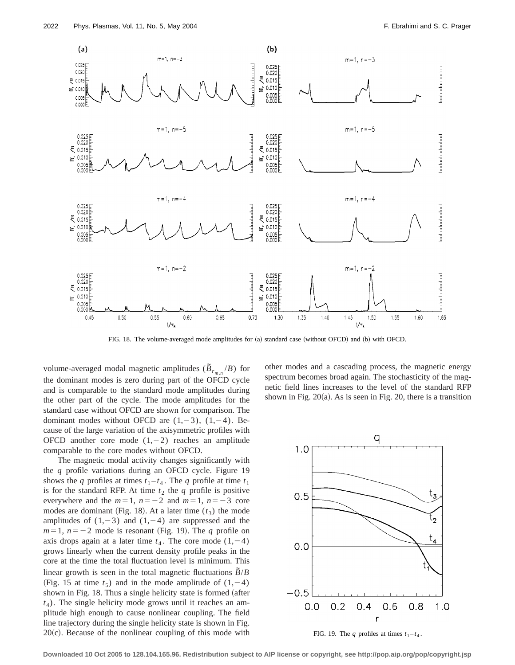

FIG. 18. The volume-averaged mode amplitudes for (a) standard case (without OFCD) and (b) with OFCD.

volume-averaged modal magnetic amplitudes  $(\widetilde{B}_{r_{m,n}}/B)$  for the dominant modes is zero during part of the OFCD cycle and is comparable to the standard mode amplitudes during the other part of the cycle. The mode amplitudes for the standard case without OFCD are shown for comparison. The dominant modes without OFCD are  $(1,-3)$ ,  $(1,-4)$ . Because of the large variation of the axisymmetric profiles with OFCD another core mode  $(1,-2)$  reaches an amplitude comparable to the core modes without OFCD.

The magnetic modal activity changes significantly with the *q* profile variations during an OFCD cycle. Figure 19 shows the *q* profiles at times  $t_1 - t_4$ . The *q* profile at time  $t_1$ is for the standard RFP. At time  $t_2$  the  $q$  profile is positive everywhere and the  $m=1$ ,  $n=-2$  and  $m=1$ ,  $n=-3$  core modes are dominant (Fig. 18). At a later time  $(t_3)$  the mode amplitudes of  $(1,-3)$  and  $(1,-4)$  are suppressed and the  $m=1$ ,  $n=-2$  mode is resonant (Fig. 19). The *q* profile on axis drops again at a later time  $t_4$ . The core mode  $(1,-4)$ grows linearly when the current density profile peaks in the core at the time the total fluctuation level is minimum. This linear growth is seen in the total magnetic fluctuations  $\tilde{B}/B$ (Fig. 15 at time  $t_5$ ) and in the mode amplitude of  $(1,-4)$ shown in Fig. 18. Thus a single helicity state is formed (after  $t_4$ ). The single helicity mode grows until it reaches an amplitude high enough to cause nonlinear coupling. The field line trajectory during the single helicity state is shown in Fig.  $20(c)$ . Because of the nonlinear coupling of this mode with other modes and a cascading process, the magnetic energy spectrum becomes broad again. The stochasticity of the magnetic field lines increases to the level of the standard RFP shown in Fig.  $20(a)$ . As is seen in Fig. 20, there is a transition



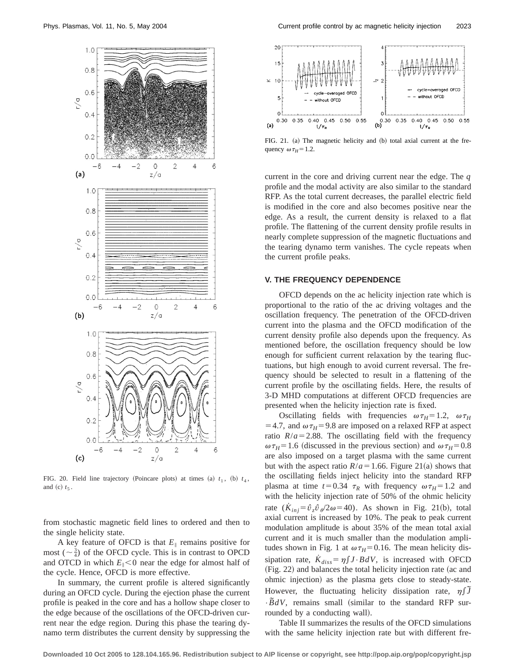

FIG. 20. Field line trajectory (Poincare plots) at times  $(a)$   $t_1$ ,  $(b)$   $t_4$ , and  $(c)$   $t_5$ .

from stochastic magnetic field lines to ordered and then to the single helicity state.

A key feature of OFCD is that  $E_{\parallel}$  remains positive for most  $(\sim \frac{3}{4})$  of the OFCD cycle. This is in contrast to OPCD and OTCD in which  $E_{\parallel}$ <0 near the edge for almost half of the cycle. Hence, OFCD is more effective.

In summary, the current profile is altered significantly during an OFCD cycle. During the ejection phase the current profile is peaked in the core and has a hollow shape closer to the edge because of the oscillations of the OFCD-driven current near the edge region. During this phase the tearing dynamo term distributes the current density by suppressing the



FIG. 21. (a) The magnetic helicity and (b) total axial current at the frequency  $\omega \tau_H = 1.2$ .

current in the core and driving current near the edge. The *q* profile and the modal activity are also similar to the standard RFP. As the total current decreases, the parallel electric field is modified in the core and also becomes positive near the edge. As a result, the current density is relaxed to a flat profile. The flattening of the current density profile results in nearly complete suppression of the magnetic fluctuations and the tearing dynamo term vanishes. The cycle repeats when the current profile peaks.

# **V. THE FREQUENCY DEPENDENCE**

OFCD depends on the ac helicity injection rate which is proportional to the ratio of the ac driving voltages and the oscillation frequency. The penetration of the OFCD-driven current into the plasma and the OFCD modification of the current density profile also depends upon the frequency. As mentioned before, the oscillation frequency should be low enough for sufficient current relaxation by the tearing fluctuations, but high enough to avoid current reversal. The frequency should be selected to result in a flattening of the current profile by the oscillating fields. Here, the results of 3-D MHD computations at different OFCD frequencies are presented when the helicity injection rate is fixed.

Oscillating fields with frequencies  $\omega \tau_H = 1.2$ ,  $\omega \tau_H$  $=$  4.7, and  $\omega \tau_H$ = 9.8 are imposed on a relaxed RFP at aspect ratio  $R/a = 2.88$ . The oscillating field with the frequency  $\omega \tau_H$ =1.6 (discussed in the previous section) and  $\omega \tau_H$ =0.8 are also imposed on a target plasma with the same current but with the aspect ratio  $R/a = 1.66$ . Figure 21(a) shows that the oscillating fields inject helicity into the standard RFP plasma at time  $t=0.34$   $\tau_R$  with frequency  $\omega \tau_H=1.2$  and with the helicity injection rate of 50% of the ohmic helicity rate  $(K_{ini} = \hat{v}_z \hat{v}_z / 2\omega = 40)$ . As shown in Fig. 21(b), total axial current is increased by 10%. The peak to peak current modulation amplitude is about 35% of the mean total axial current and it is much smaller than the modulation amplitudes shown in Fig. 1 at  $\omega \tau_H = 0.16$ . The mean helicity dissipation rate,  $\dot{K}_{diss} = \eta \int J \cdot B dV$ , is increased with OFCD (Fig. 22) and balances the total helicity injection rate (ac and ohmic injection) as the plasma gets close to steady-state. However, the fluctuating helicity dissipation rate,  $\eta \int \tilde{J}$  $\cdot \overline{B}dV$ , remains small (similar to the standard RFP surrounded by a conducting wall).

Table II summarizes the results of the OFCD simulations with the same helicity injection rate but with different fre-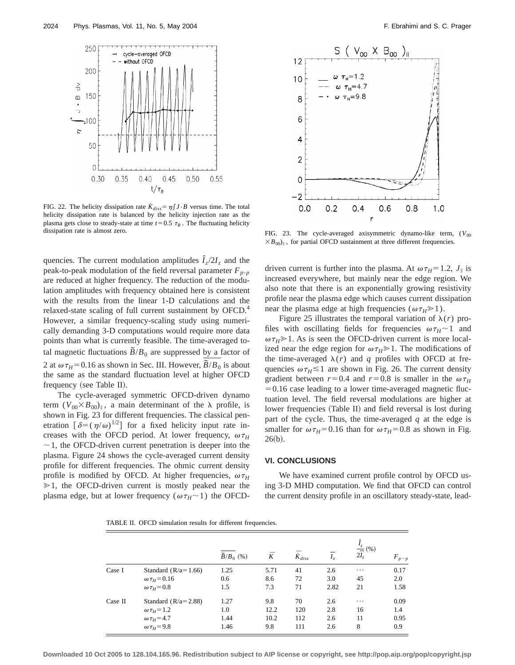

FIG. 22. The helicity dissipation rate  $K_{diss} = \eta \int J \cdot B$  versus time. The total helicity dissipation rate is balanced by the helicity injection rate as the plasma gets close to steady-state at time  $t=0.5 \tau_R$ . The fluctuating helicity dissipation rate is almost zero.

quencies. The current modulation amplitudes  $\hat{I}_z/2I_z$  and the peak-to-peak modulation of the field reversal parameter  $F_{p-p}$ are reduced at higher frequency. The reduction of the modulation amplitudes with frequency obtained here is consistent with the results from the linear 1-D calculations and the relaxed-state scaling of full current sustainment by OFCD.<sup>4</sup> However, a similar frequency-scaling study using numerically demanding 3-D computations would require more data points than what is currently feasible. The time-averaged total magnetic fluctuations  $\overline{B}/B_0$  are suppressed by a factor of 2 at  $\omega \tau_H$ = 0.16 as shown in Sec. III. However,  $\overline{\tilde{B}/B_0}$  is about the same as the standard fluctuation level at higher OFCD frequency (see Table II).

The cycle-averaged symmetric OFCD-driven dynamo term  $(V_{00} \times B_{00})_{\parallel}$ , a main determinant of the  $\lambda$  profile, is shown in Fig. 23 for different frequencies. The classical penetration  $\left[\delta = (\eta/\omega)^{1/2}\right]$  for a fixed helicity input rate increases with the OFCD period. At lower frequency,  $\omega \tau_H$  $\sim$  1, the OFCD-driven current penetration is deeper into the plasma. Figure 24 shows the cycle-averaged current density profile for different frequencies. The ohmic current density profile is modified by OFCD. At higher frequencies,  $\omega \tau_H$  $\geq 1$ , the OFCD-driven current is mostly peaked near the plasma edge, but at lower frequency ( $\omega \tau_H \sim 1$ ) the OFCD-



FIG. 23. The cycle-averaged axisymmetric dynamo-like term,  $(V_{00}$  $\times B_{00})$ <sub>i</sub>, for partial OFCD sustainment at three different frequencies.

driven current is further into the plasma. At  $\omega \tau_H = 1.2$ ,  $J_{\parallel}$  is increased everywhere, but mainly near the edge region. We also note that there is an exponentially growing resistivity profile near the plasma edge which causes current dissipation near the plasma edge at high frequencies ( $\omega \tau_H \ge 1$ ).

Figure 25 illustrates the temporal variation of  $\lambda(r)$  profiles with oscillating fields for frequencies  $\omega \tau_H \sim 1$  and  $\omega \tau_H \geq 1$ . As is seen the OFCD-driven current is more localized near the edge region for  $\omega \tau_H \ge 1$ . The modifications of the time-averaged  $\lambda(r)$  and *q* profiles with OFCD at frequencies  $\omega \tau_H \le 1$  are shown in Fig. 26. The current density gradient between  $r=0.4$  and  $r=0.8$  is smaller in the  $\omega \tau_H$  $=0.16$  case leading to a lower time-averaged magnetic fluctuation level. The field reversal modulations are higher at lower frequencies (Table II) and field reversal is lost during part of the cycle. Thus, the time-averaged *q* at the edge is smaller for  $\omega \tau_H = 0.16$  than for  $\omega \tau_H = 0.8$  as shown in Fig.  $26(b).$ 

#### **VI. CONCLUSIONS**

We have examined current profile control by OFCD using 3-D MHD computation. We find that OFCD can control the current density profile in an oscillatory steady-state, lead-

TABLE II. OFCD simulation results for different frequencies.

|         |                          | $\widetilde{B}/B_0$ (%) | $\bar{K}$ | $\bar{\dot K}_{diss}$ | $I_z$ | $\frac{I_z}{2I_z}(96)$ | $F_{p-p}$ |
|---------|--------------------------|-------------------------|-----------|-----------------------|-------|------------------------|-----------|
| Case I  | Standard $(R/a=1.66)$    | 1.25                    | 5.71      | 41                    | 2.6   | $\cdots$               | 0.17      |
|         | $\omega \tau_{H} = 0.16$ | 0.6                     | 8.6       | 72                    | 3.0   | 45                     | 2.0       |
|         | $\omega \tau_H = 0.8$    | 1.5                     | 7.3       | 71                    | 2.82  | 21                     | 1.58      |
| Case II | Standard $(R/a = 2.88)$  | 1.27                    | 9.8       | 70                    | 2.6   | $\ddots$               | 0.09      |
|         | $\omega \tau_H = 1.2$    | 1.0                     | 12.2      | 120                   | 2.8   | 16                     | 1.4       |
|         | $\omega \tau_{H} = 4.7$  | 1.44                    | 10.2      | 112                   | 2.6   | 11                     | 0.95      |
|         | $\omega \tau_H = 9.8$    | 1.46                    | 9.8       | 111                   | 2.6   | 8                      | 0.9       |